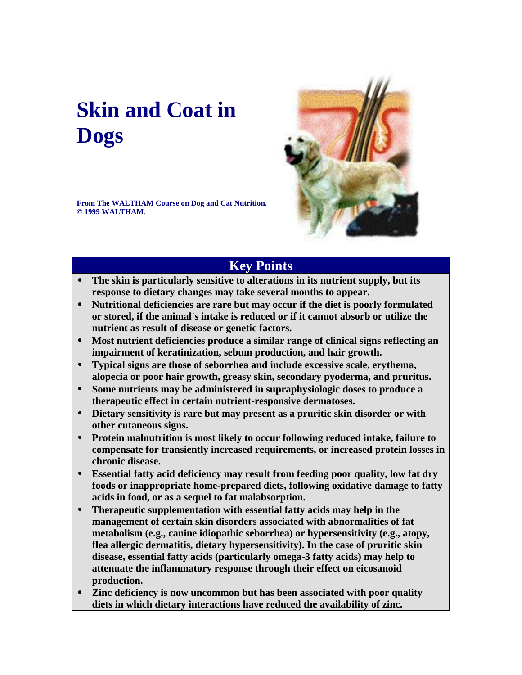# **Skin and Coat in Dogs**

**From The WALTHAM Course on Dog and Cat Nutrition. © 1999 WALTHAM**.



# **Key Points**

- **The skin is particularly sensitive to alterations in its nutrient supply, but its response to dietary changes may take several months to appear.**
- **Nutritional deficiencies are rare but may occur if the diet is poorly formulated or stored, if the animal's intake is reduced or if it cannot absorb or utilize the nutrient as result of disease or genetic factors.**
- **Most nutrient deficiencies produce a similar range of clinical signs reflecting an impairment of keratinization, sebum production, and hair growth.**
- **Typical signs are those of seborrhea and include excessive scale, erythema, alopecia or poor hair growth, greasy skin, secondary pyoderma, and pruritus.**
- **Some nutrients may be administered in supraphysiologic doses to produce a therapeutic effect in certain nutrient-responsive dermatoses.**
- **Dietary sensitivity is rare but may present as a pruritic skin disorder or with other cutaneous signs.**
- **Protein malnutrition is most likely to occur following reduced intake, failure to compensate for transiently increased requirements, or increased protein losses in chronic disease.**
- **Essential fatty acid deficiency may result from feeding poor quality, low fat dry foods or inappropriate home-prepared diets, following oxidative damage to fatty acids in food, or as a sequel to fat malabsorption.**
- **Therapeutic supplementation with essential fatty acids may help in the management of certain skin disorders associated with abnormalities of fat metabolism (e.g., canine idiopathic seborrhea) or hypersensitivity (e.g., atopy, flea allergic dermatitis, dietary hypersensitivity). In the case of pruritic skin disease, essential fatty acids (particularly omega-3 fatty acids) may help to attenuate the inflammatory response through their effect on eicosanoid production.**
- **Zinc deficiency is now uncommon but has been associated with poor quality diets in which dietary interactions have reduced the availability of zinc.**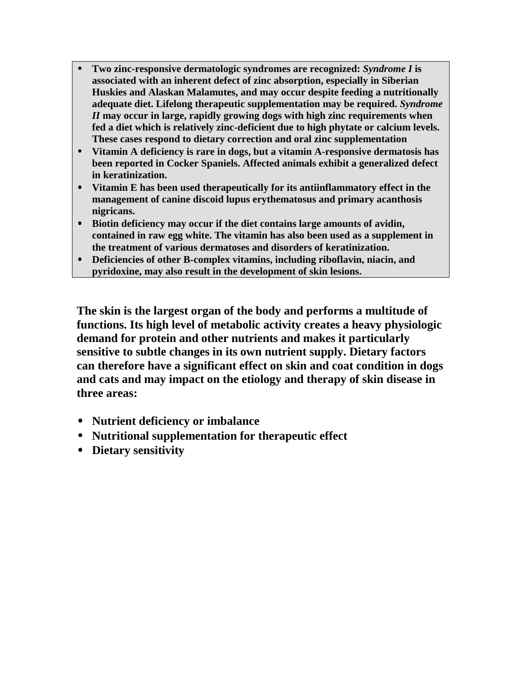- **Two zinc-responsive dermatologic syndromes are recognized:** *Syndrome I* **is associated with an inherent defect of zinc absorption, especially in Siberian Huskies and Alaskan Malamutes, and may occur despite feeding a nutritionally adequate diet. Lifelong therapeutic supplementation may be required.** *Syndrome II* **may occur in large, rapidly growing dogs with high zinc requirements when fed a diet which is relatively zinc-deficient due to high phytate or calcium levels. These cases respond to dietary correction and oral zinc supplementation**
- **Vitamin A deficiency is rare in dogs, but a vitamin A-responsive dermatosis has been reported in Cocker Spaniels. Affected animals exhibit a generalized defect in keratinization.**
- **Vitamin E has been used therapeutically for its antiinflammatory effect in the management of canine discoid lupus erythematosus and primary acanthosis nigricans.**
- **Biotin deficiency may occur if the diet contains large amounts of avidin, contained in raw egg white. The vitamin has also been used as a supplement in the treatment of various dermatoses and disorders of keratinization.**
- **Deficiencies of other B-complex vitamins, including riboflavin, niacin, and pyridoxine, may also result in the development of skin lesions.**

**The skin is the largest organ of the body and performs a multitude of functions. Its high level of metabolic activity creates a heavy physiologic demand for protein and other nutrients and makes it particularly sensitive to subtle changes in its own nutrient supply. Dietary factors can therefore have a significant effect on skin and coat condition in dogs and cats and may impact on the etiology and therapy of skin disease in three areas:**

- **Nutrient deficiency or imbalance**
- **Nutritional supplementation for therapeutic effect**
- **Dietary sensitivity**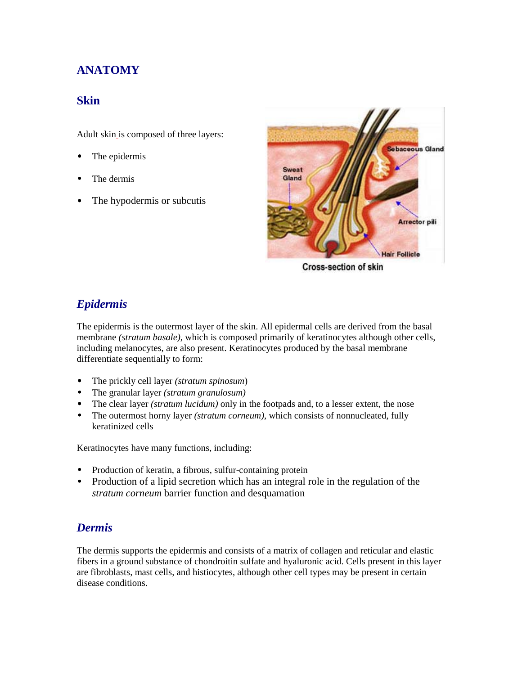# **ANATOMY**

## **Skin**

Adult skin is composed of three layers:

- The epidermis
- The dermis
- The hypodermis or subcutis



**Cross-section of skin** 

# *Epidermis*

The epidermis is the outermost layer of the skin. All epidermal cells are derived from the basal membrane *(stratum basale),* which is composed primarily of keratinocytes although other cells, including melanocytes, are also present. Keratinocytes produced by the basal membrane differentiate sequentially to form:

- The prickly cell layer *(stratum spinosum*)
- The granular layer *(stratum granulosum)*
- The clear layer *(stratum lucidum)* only in the footpads and, to a lesser extent, the nose
- The outermost horny layer *(stratum corneum)*, which consists of nonnucleated, fully keratinized cells

Keratinocytes have many functions, including:

- Production of keratin, a fibrous, sulfur-containing protein
- Production of a lipid secretion which has an integral role in the regulation of the *stratum corneum* barrier function and desquamation

#### *Dermis*

The dermis supports the epidermis and consists of a matrix of collagen and reticular and elastic fibers in a ground substance of chondroitin sulfate and hyaluronic acid. Cells present in this layer are fibroblasts, mast cells, and histiocytes, although other cell types may be present in certain disease conditions.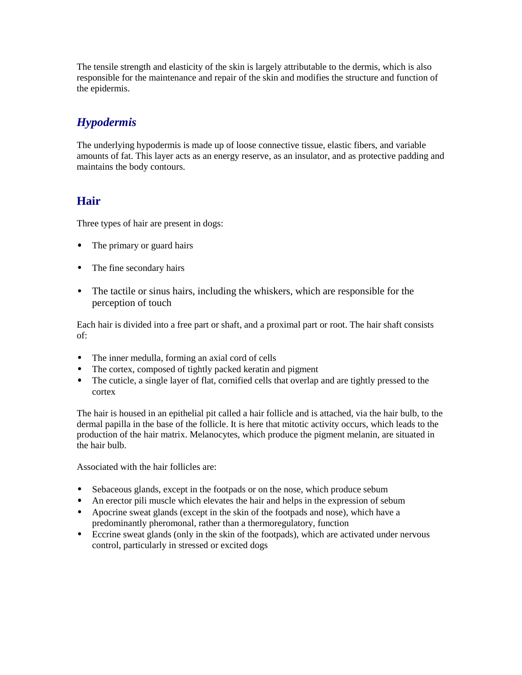The tensile strength and elasticity of the skin is largely attributable to the dermis, which is also responsible for the maintenance and repair of the skin and modifies the structure and function of the epidermis.

## *Hypodermis*

The underlying hypodermis is made up of loose connective tissue, elastic fibers, and variable amounts of fat. This layer acts as an energy reserve, as an insulator, and as protective padding and maintains the body contours.

## **Hair**

Three types of hair are present in dogs:

- The primary or guard hairs
- The fine secondary hairs
- The tactile or sinus hairs, including the whiskers, which are responsible for the perception of touch

Each hair is divided into a free part or shaft, and a proximal part or root. The hair shaft consists of:

- The inner medulla, forming an axial cord of cells
- The cortex, composed of tightly packed keratin and pigment
- The cuticle, a single layer of flat, cornified cells that overlap and are tightly pressed to the cortex

The hair is housed in an epithelial pit called a hair follicle and is attached, via the hair bulb, to the dermal papilla in the base of the follicle. It is here that mitotic activity occurs, which leads to the production of the hair matrix. Melanocytes, which produce the pigment melanin, are situated in the hair bulb.

Associated with the hair follicles are:

- Sebaceous glands, except in the footpads or on the nose, which produce sebum
- An erector pili muscle which elevates the hair and helps in the expression of sebum
- Apocrine sweat glands (except in the skin of the footpads and nose), which have a predominantly pheromonal, rather than a thermoregulatory, function
- Eccrine sweat glands (only in the skin of the footpads), which are activated under nervous control, particularly in stressed or excited dogs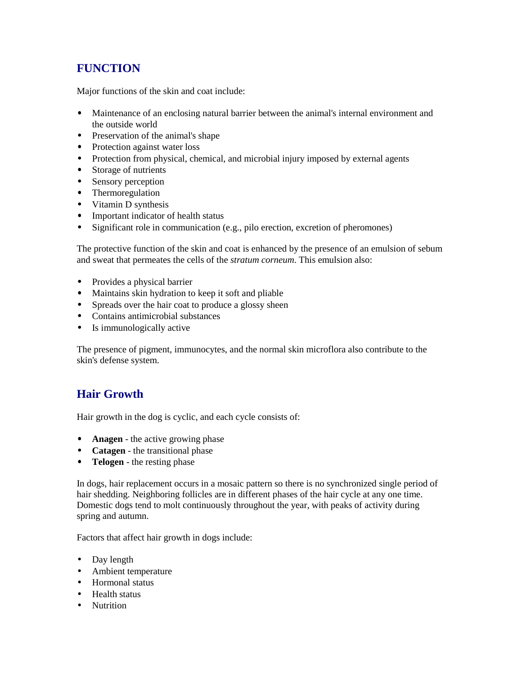# **FUNCTION**

Major functions of the skin and coat include:

- Maintenance of an enclosing natural barrier between the animal's internal environment and the outside world
- Preservation of the animal's shape
- Protection against water loss
- Protection from physical, chemical, and microbial injury imposed by external agents
- Storage of nutrients
- Sensory perception
- Thermoregulation
- Vitamin D synthesis
- Important indicator of health status
- Significant role in communication (e.g., pilo erection, excretion of pheromones)

The protective function of the skin and coat is enhanced by the presence of an emulsion of sebum and sweat that permeates the cells of the *stratum corneum*. This emulsion also:

- Provides a physical barrier
- Maintains skin hydration to keep it soft and pliable
- Spreads over the hair coat to produce a glossy sheen
- Contains antimicrobial substances
- Is immunologically active

The presence of pigment, immunocytes, and the normal skin microflora also contribute to the skin's defense system.

# **Hair Growth**

Hair growth in the dog is cyclic, and each cycle consists of:

- **Anagen** the active growing phase
- **Catagen** the transitional phase
- **Telogen** the resting phase

In dogs, hair replacement occurs in a mosaic pattern so there is no synchronized single period of hair shedding. Neighboring follicles are in different phases of the hair cycle at any one time. Domestic dogs tend to molt continuously throughout the year, with peaks of activity during spring and autumn.

Factors that affect hair growth in dogs include:

- Day length
- Ambient temperature
- Hormonal status
- Health status
- Nutrition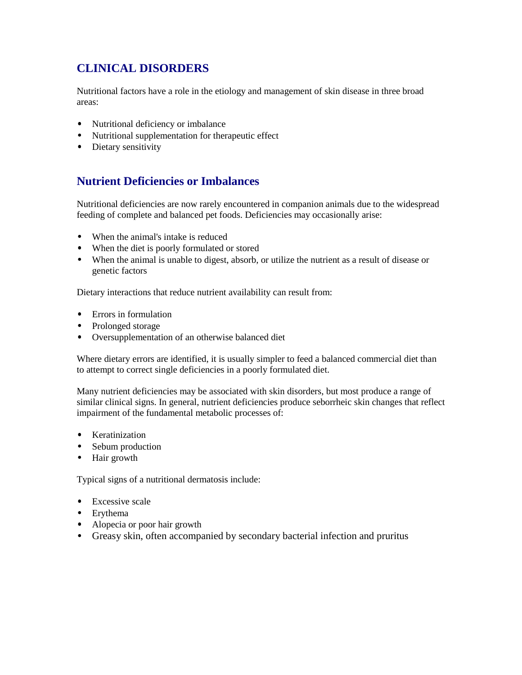# **CLINICAL DISORDERS**

Nutritional factors have a role in the etiology and management of skin disease in three broad areas:

- Nutritional deficiency or imbalance
- Nutritional supplementation for therapeutic effect
- Dietary sensitivity

## **Nutrient Deficiencies or Imbalances**

Nutritional deficiencies are now rarely encountered in companion animals due to the widespread feeding of complete and balanced pet foods. Deficiencies may occasionally arise:

- When the animal's intake is reduced
- When the diet is poorly formulated or stored
- When the animal is unable to digest, absorb, or utilize the nutrient as a result of disease or genetic factors

Dietary interactions that reduce nutrient availability can result from:

- Errors in formulation
- Prolonged storage
- Oversupplementation of an otherwise balanced diet

Where dietary errors are identified, it is usually simpler to feed a balanced commercial diet than to attempt to correct single deficiencies in a poorly formulated diet.

Many nutrient deficiencies may be associated with skin disorders, but most produce a range of similar clinical signs. In general, nutrient deficiencies produce seborrheic skin changes that reflect impairment of the fundamental metabolic processes of:

- Keratinization
- Sebum production
- Hair growth

Typical signs of a nutritional dermatosis include:

- Excessive scale
- Erythema
- Alopecia or poor hair growth
- Greasy skin, often accompanied by secondary bacterial infection and pruritus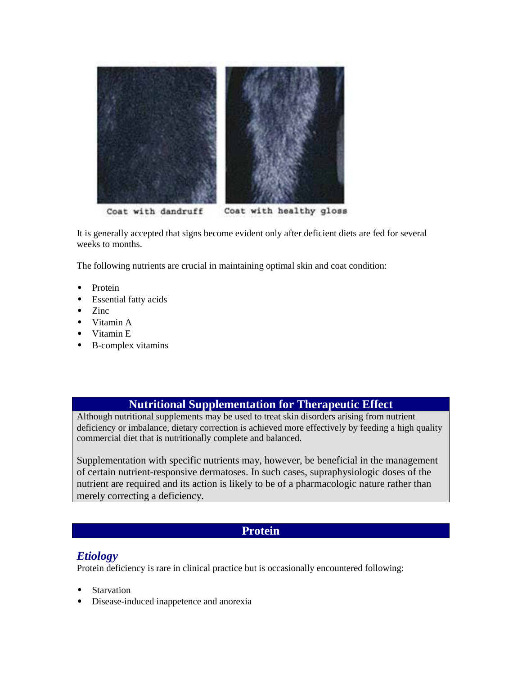

It is generally accepted that signs become evident only after deficient diets are fed for several weeks to months.

The following nutrients are crucial in maintaining optimal skin and coat condition:

- Protein
- **Essential fatty acids**
- Zinc
- Vitamin A
- Vitamin E
- B-complex vitamins

#### **Nutritional Supplementation for Therapeutic Effect**

Although nutritional supplements may be used to treat skin disorders arising from nutrient deficiency or imbalance, dietary correction is achieved more effectively by feeding a high quality commercial diet that is nutritionally complete and balanced.

Supplementation with specific nutrients may, however, be beneficial in the management of certain nutrient-responsive dermatoses. In such cases, supraphysiologic doses of the nutrient are required and its action is likely to be of a pharmacologic nature rather than merely correcting a deficiency.

#### **Protein**

#### *Etiology*

Protein deficiency is rare in clinical practice but is occasionally encountered following:

- **Starvation**
- Disease-induced inappetence and anorexia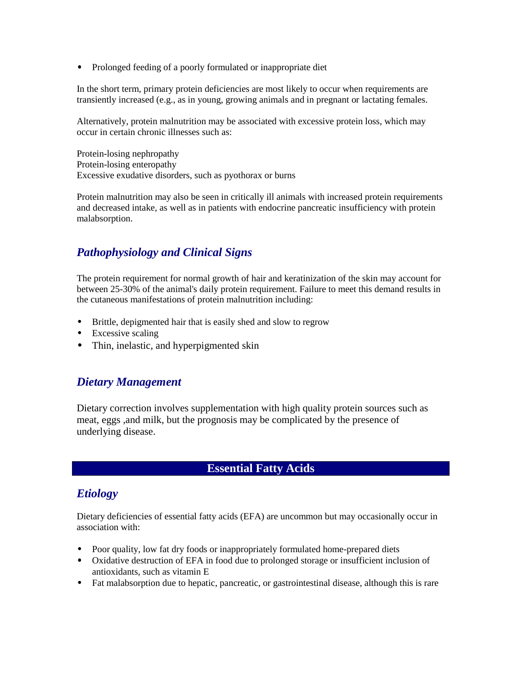• Prolonged feeding of a poorly formulated or inappropriate diet

In the short term, primary protein deficiencies are most likely to occur when requirements are transiently increased (e.g., as in young, growing animals and in pregnant or lactating females.

Alternatively, protein malnutrition may be associated with excessive protein loss, which may occur in certain chronic illnesses such as:

Protein-losing nephropathy Protein-losing enteropathy Excessive exudative disorders, such as pyothorax or burns

Protein malnutrition may also be seen in critically ill animals with increased protein requirements and decreased intake, as well as in patients with endocrine pancreatic insufficiency with protein malabsorption.

# *Pathophysiology and Clinical Signs*

The protein requirement for normal growth of hair and keratinization of the skin may account for between 25-30% of the animal's daily protein requirement. Failure to meet this demand results in the cutaneous manifestations of protein malnutrition including:

- Brittle, depigmented hair that is easily shed and slow to regrow
- Excessive scaling
- Thin, inelastic, and hyperpigmented skin

#### *Dietary Management*

Dietary correction involves supplementation with high quality protein sources such as meat, eggs ,and milk, but the prognosis may be complicated by the presence of underlying disease.

#### **Essential Fatty Acids**

## *Etiology*

Dietary deficiencies of essential fatty acids (EFA) are uncommon but may occasionally occur in association with:

- Poor quality, low fat dry foods or inappropriately formulated home-prepared diets
- Oxidative destruction of EFA in food due to prolonged storage or insufficient inclusion of antioxidants, such as vitamin E
- Fat malabsorption due to hepatic, pancreatic, or gastrointestinal disease, although this is rare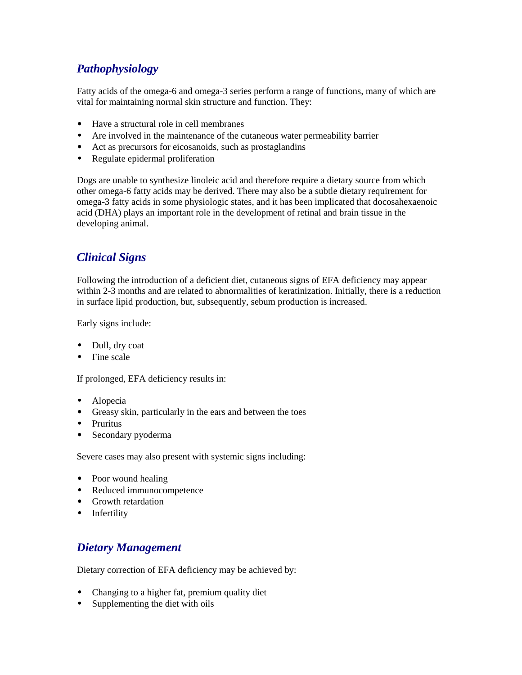# *Pathophysiology*

Fatty acids of the omega-6 and omega-3 series perform a range of functions, many of which are vital for maintaining normal skin structure and function. They:

- Have a structural role in cell membranes
- Are involved in the maintenance of the cutaneous water permeability barrier
- Act as precursors for eicosanoids, such as prostaglandins
- Regulate epidermal proliferation

Dogs are unable to synthesize linoleic acid and therefore require a dietary source from which other omega-6 fatty acids may be derived. There may also be a subtle dietary requirement for omega-3 fatty acids in some physiologic states, and it has been implicated that docosahexaenoic acid (DHA) plays an important role in the development of retinal and brain tissue in the developing animal.

## *Clinical Signs*

Following the introduction of a deficient diet, cutaneous signs of EFA deficiency may appear within 2-3 months and are related to abnormalities of keratinization. Initially, there is a reduction in surface lipid production, but, subsequently, sebum production is increased.

Early signs include:

- Dull, dry coat
- Fine scale

If prolonged, EFA deficiency results in:

- Alopecia
- Greasy skin, particularly in the ears and between the toes
- Pruritus
- Secondary pyoderma

Severe cases may also present with systemic signs including:

- Poor wound healing
- Reduced immunocompetence
- Growth retardation
- Infertility

## *Dietary Management*

Dietary correction of EFA deficiency may be achieved by:

- Changing to a higher fat, premium quality diet
- Supplementing the diet with oils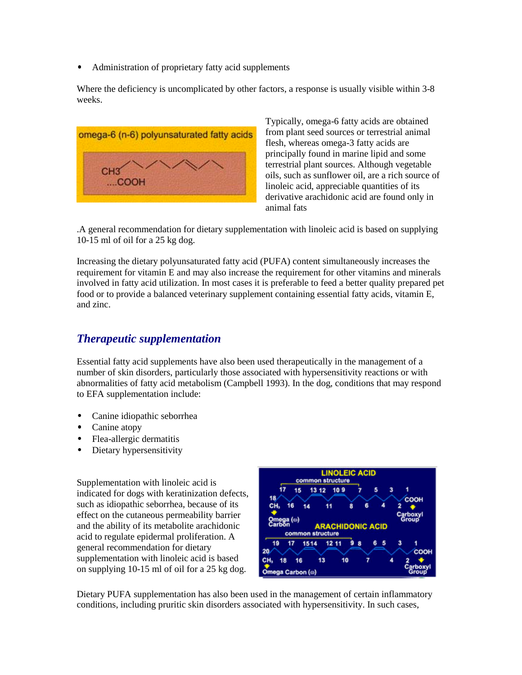• Administration of proprietary fatty acid supplements

Where the deficiency is uncomplicated by other factors, a response is usually visible within 3-8 weeks.



Typically, omega-6 fatty acids are obtained from plant seed sources or terrestrial animal flesh, whereas omega-3 fatty acids are principally found in marine lipid and some terrestrial plant sources. Although vegetable oils, such as sunflower oil, are a rich source of linoleic acid, appreciable quantities of its derivative arachidonic acid are found only in animal fats

.A general recommendation for dietary supplementation with linoleic acid is based on supplying 10-15 ml of oil for a 25 kg dog.

Increasing the dietary polyunsaturated fatty acid (PUFA) content simultaneously increases the requirement for vitamin E and may also increase the requirement for other vitamins and minerals involved in fatty acid utilization. In most cases it is preferable to feed a better quality prepared pet food or to provide a balanced veterinary supplement containing essential fatty acids, vitamin E, and zinc.

### *Therapeutic supplementation*

Essential fatty acid supplements have also been used therapeutically in the management of a number of skin disorders, particularly those associated with hypersensitivity reactions or with abnormalities of fatty acid metabolism (Campbell 1993). In the dog, conditions that may respond to EFA supplementation include:

- Canine idiopathic seborrhea
- Canine atopy
- Flea-allergic dermatitis
- Dietary hypersensitivity

Supplementation with linoleic acid is indicated for dogs with keratinization defects, such as idiopathic seborrhea, because of its effect on the cutaneous permeability barrier and the ability of its metabolite arachidonic acid to regulate epidermal proliferation. A general recommendation for dietary supplementation with linoleic acid is based on supplying 10-15 ml of oil for a 25 kg dog.



Dietary PUFA supplementation has also been used in the management of certain inflammatory conditions, including pruritic skin disorders associated with hypersensitivity. In such cases,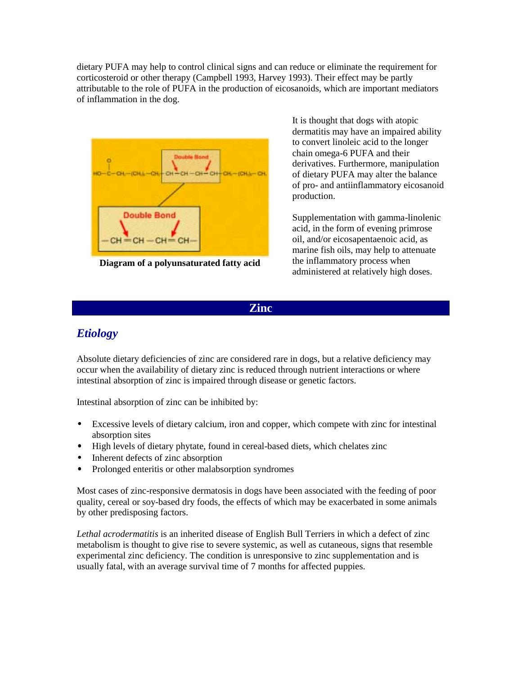dietary PUFA may help to control clinical signs and can reduce or eliminate the requirement for corticosteroid or other therapy (Campbell 1993, Harvey 1993). Their effect may be partly attributable to the role of PUFA in the production of eicosanoids, which are important mediators of inflammation in the dog.



**Diagram of a polyunsaturated fatty acid**

It is thought that dogs with atopic dermatitis may have an impaired ability to convert linoleic acid to the longer chain omega-6 PUFA and their derivatives. Furthermore, manipulation of dietary PUFA may alter the balance of pro- and antiinflammatory eicosanoid production.

Supplementation with gamma-linolenic acid, in the form of evening primrose oil, and/or eicosapentaenoic acid, as marine fish oils, may help to attenuate the inflammatory process when administered at relatively high doses.

**Zinc**

# *Etiology*

Absolute dietary deficiencies of zinc are considered rare in dogs, but a relative deficiency may occur when the availability of dietary zinc is reduced through nutrient interactions or where intestinal absorption of zinc is impaired through disease or genetic factors.

Intestinal absorption of zinc can be inhibited by:

- Excessive levels of dietary calcium, iron and copper, which compete with zinc for intestinal absorption sites
- High levels of dietary phytate, found in cereal-based diets, which chelates zinc
- Inherent defects of zinc absorption
- Prolonged enteritis or other malabsorption syndromes

Most cases of zinc-responsive dermatosis in dogs have been associated with the feeding of poor quality, cereal or soy-based dry foods, the effects of which may be exacerbated in some animals by other predisposing factors.

*Lethal acrodermatitis* is an inherited disease of English Bull Terriers in which a defect of zinc metabolism is thought to give rise to severe systemic, as well as cutaneous, signs that resemble experimental zinc deficiency. The condition is unresponsive to zinc supplementation and is usually fatal, with an average survival time of 7 months for affected puppies.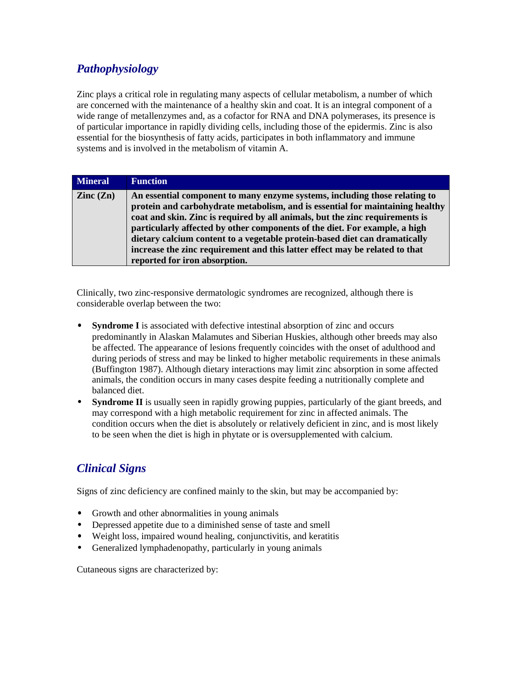# *Pathophysiology*

Zinc plays a critical role in regulating many aspects of cellular metabolism, a number of which are concerned with the maintenance of a healthy skin and coat. It is an integral component of a wide range of metallenzymes and, as a cofactor for RNA and DNA polymerases, its presence is of particular importance in rapidly dividing cells, including those of the epidermis. Zinc is also essential for the biosynthesis of fatty acids, participates in both inflammatory and immune systems and is involved in the metabolism of vitamin A.

| <b>Mineral</b>           | <b>Function</b>                                                                                                                                                                                                                                                                                                                                                                                                                                                                                                         |
|--------------------------|-------------------------------------------------------------------------------------------------------------------------------------------------------------------------------------------------------------------------------------------------------------------------------------------------------------------------------------------------------------------------------------------------------------------------------------------------------------------------------------------------------------------------|
| $\text{Zinc}(\text{Zn})$ | An essential component to many enzyme systems, including those relating to<br>protein and carbohydrate metabolism, and is essential for maintaining healthy<br>coat and skin. Zinc is required by all animals, but the zinc requirements is<br>particularly affected by other components of the diet. For example, a high<br>dietary calcium content to a vegetable protein-based diet can dramatically<br>increase the zinc requirement and this latter effect may be related to that<br>reported for iron absorption. |

Clinically, two zinc-responsive dermatologic syndromes are recognized, although there is considerable overlap between the two:

- **Syndrome I** is associated with defective intestinal absorption of zinc and occurs predominantly in Alaskan Malamutes and Siberian Huskies, although other breeds may also be affected. The appearance of lesions frequently coincides with the onset of adulthood and during periods of stress and may be linked to higher metabolic requirements in these animals (Buffington 1987). Although dietary interactions may limit zinc absorption in some affected animals, the condition occurs in many cases despite feeding a nutritionally complete and balanced diet.
- **Syndrome II** is usually seen in rapidly growing puppies, particularly of the giant breeds, and may correspond with a high metabolic requirement for zinc in affected animals. The condition occurs when the diet is absolutely or relatively deficient in zinc, and is most likely to be seen when the diet is high in phytate or is oversupplemented with calcium.

# *Clinical Signs*

Signs of zinc deficiency are confined mainly to the skin, but may be accompanied by:

- Growth and other abnormalities in young animals
- Depressed appetite due to a diminished sense of taste and smell
- Weight loss, impaired wound healing, conjunctivitis, and keratitis
- Generalized lymphadenopathy, particularly in young animals

Cutaneous signs are characterized by: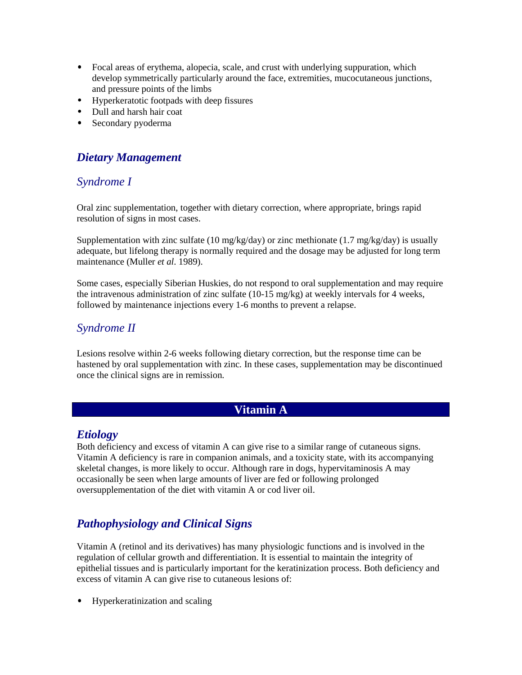- Focal areas of erythema, alopecia, scale, and crust with underlying suppuration, which develop symmetrically particularly around the face, extremities, mucocutaneous junctions, and pressure points of the limbs
- Hyperkeratotic footpads with deep fissures
- Dull and harsh hair coat
- Secondary pyoderma

## *Dietary Management*

#### *Syndrome I*

Oral zinc supplementation, together with dietary correction, where appropriate, brings rapid resolution of signs in most cases.

Supplementation with zinc sulfate (10 mg/kg/day) or zinc methionate (1.7 mg/kg/day) is usually adequate, but lifelong therapy is normally required and the dosage may be adjusted for long term maintenance (Muller *et al*. 1989).

Some cases, especially Siberian Huskies, do not respond to oral supplementation and may require the intravenous administration of zinc sulfate (10-15 mg/kg) at weekly intervals for 4 weeks, followed by maintenance injections every 1-6 months to prevent a relapse.

#### *Syndrome II*

Lesions resolve within 2-6 weeks following dietary correction, but the response time can be hastened by oral supplementation with zinc*.* In these cases*,* supplementation may be discontinued once the clinical signs are in remission.

### **Vitamin A**

#### *Etiology*

Both deficiency and excess of vitamin A can give rise to a similar range of cutaneous signs. Vitamin A deficiency is rare in companion animals, and a toxicity state, with its accompanying skeletal changes, is more likely to occur. Although rare in dogs, hypervitaminosis A may occasionally be seen when large amounts of liver are fed or following prolonged oversupplementation of the diet with vitamin A or cod liver oil.

# *Pathophysiology and Clinical Signs*

Vitamin A (retinol and its derivatives) has many physiologic functions and is involved in the regulation of cellular growth and differentiation. It is essential to maintain the integrity of epithelial tissues and is particularly important for the keratinization process. Both deficiency and excess of vitamin A can give rise to cutaneous lesions of:

• Hyperkeratinization and scaling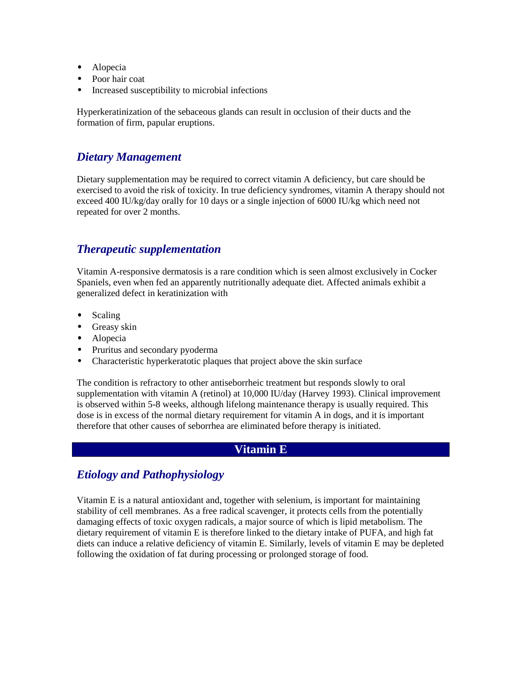- Alopecia
- Poor hair coat
- Increased susceptibility to microbial infections

Hyperkeratinization of the sebaceous glands can result in occlusion of their ducts and the formation of firm, papular eruptions.

#### *Dietary Management*

Dietary supplementation may be required to correct vitamin A deficiency, but care should be exercised to avoid the risk of toxicity. In true deficiency syndromes, vitamin A therapy should not exceed 400 IU/kg/day orally for 10 days or a single injection of 6000 IU/kg which need not repeated for over 2 months.

## *Therapeutic supplementation*

Vitamin A-responsive dermatosis is a rare condition which is seen almost exclusively in Cocker Spaniels, even when fed an apparently nutritionally adequate diet. Affected animals exhibit a generalized defect in keratinization with

- Scaling
- Greasy skin
- Alopecia
- Pruritus and secondary pyoderma
- Characteristic hyperkeratotic plaques that project above the skin surface

The condition is refractory to other antiseborrheic treatment but responds slowly to oral supplementation with vitamin A (retinol) at 10,000 IU/day (Harvey 1993). Clinical improvement is observed within 5-8 weeks, although lifelong maintenance therapy is usually required. This dose is in excess of the normal dietary requirement for vitamin A in dogs, and it is important therefore that other causes of seborrhea are eliminated before therapy is initiated.

#### **Vitamin E**

## *Etiology and Pathophysiology*

Vitamin E is a natural antioxidant and, together with selenium, is important for maintaining stability of cell membranes. As a free radical scavenger, it protects cells from the potentially damaging effects of toxic oxygen radicals, a major source of which is lipid metabolism. The dietary requirement of vitamin E is therefore linked to the dietary intake of PUFA, and high fat diets can induce a relative deficiency of vitamin E. Similarly, levels of vitamin E may be depleted following the oxidation of fat during processing or prolonged storage of food.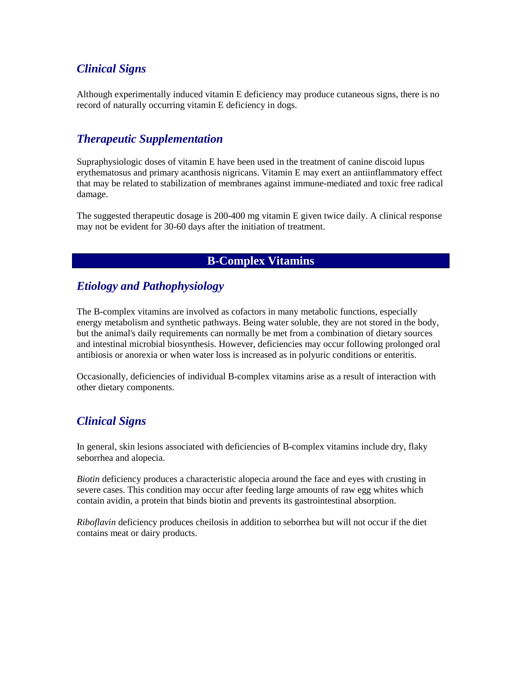## *Clinical Signs*

Although experimentally induced vitamin E deficiency may produce cutaneous signs, there is no record of naturally occurring vitamin E deficiency in dogs*.*

## *Therapeutic Supplementation*

Supraphysiologic doses of vitamin E have been used in the treatment of canine discoid lupus erythematosus and primary acanthosis nigricans. Vitamin E may exert an antiinflammatory effect that may be related to stabilization of membranes against immune-mediated and toxic free radical damage.

The suggested therapeutic dosage is 200-400 mg vitamin E given twice daily. A clinical response may not be evident for 30-60 days after the initiation of treatment.

#### **B-Complex Vitamins**

## *Etiology and Pathophysiology*

The B-complex vitamins are involved as cofactors in many metabolic functions, especially energy metabolism and synthetic pathways. Being water soluble, they are not stored in the body, but the animal's daily requirements can normally be met from a combination of dietary sources and intestinal microbial biosynthesis. However, deficiencies may occur following prolonged oral antibiosis or anorexia or when water loss is increased as in polyuric conditions or enteritis.

Occasionally, deficiencies of individual B-complex vitamins arise as a result of interaction with other dietary components.

# *Clinical Signs*

In general, skin lesions associated with deficiencies of B-complex vitamins include dry, flaky seborrhea and alopecia.

*Biotin* deficiency produces a characteristic alopecia around the face and eyes with crusting in severe cases. This condition may occur after feeding large amounts of raw egg whites which contain avidin, a protein that binds biotin and prevents its gastrointestinal absorption.

*Riboflavin* deficiency produces cheilosis in addition to seborrhea but will not occur if the diet contains meat or dairy products.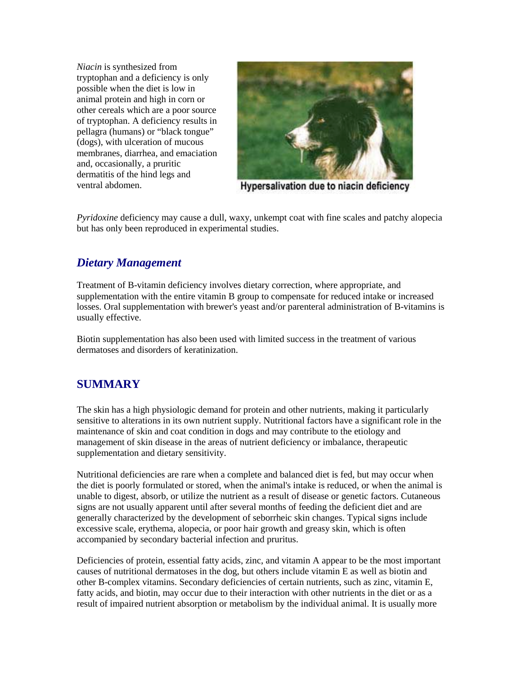*Niacin* is synthesized from tryptophan and a deficiency is only possible when the diet is low in animal protein and high in corn or other cereals which are a poor source of tryptophan. A deficiency results in pellagra (humans) or "black tongue" (dogs), with ulceration of mucous membranes, diarrhea, and emaciation and, occasionally, a pruritic dermatitis of the hind legs and ventral abdomen.



Hypersalivation due to niacin deficiency

*Pyridoxine* deficiency may cause a dull, waxy, unkempt coat with fine scales and patchy alopecia but has only been reproduced in experimental studies.

## *Dietary Management*

Treatment of B-vitamin deficiency involves dietary correction, where appropriate, and supplementation with the entire vitamin B group to compensate for reduced intake or increased losses. Oral supplementation with brewer's yeast and/or parenteral administration of B-vitamins is usually effective.

Biotin supplementation has also been used with limited success in the treatment of various dermatoses and disorders of keratinization.

## **SUMMARY**

The skin has a high physiologic demand for protein and other nutrients, making it particularly sensitive to alterations in its own nutrient supply. Nutritional factors have a significant role in the maintenance of skin and coat condition in dogs and may contribute to the etiology and management of skin disease in the areas of nutrient deficiency or imbalance, therapeutic supplementation and dietary sensitivity.

Nutritional deficiencies are rare when a complete and balanced diet is fed, but may occur when the diet is poorly formulated or stored, when the animal's intake is reduced, or when the animal is unable to digest, absorb, or utilize the nutrient as a result of disease or genetic factors. Cutaneous signs are not usually apparent until after several months of feeding the deficient diet and are generally characterized by the development of seborrheic skin changes. Typical signs include excessive scale, erythema, alopecia, or poor hair growth and greasy skin, which is often accompanied by secondary bacterial infection and pruritus.

Deficiencies of protein, essential fatty acids, zinc, and vitamin A appear to be the most important causes of nutritional dermatoses in the dog, but others include vitamin E as well as biotin and other B-complex vitamins. Secondary deficiencies of certain nutrients, such as zinc, vitamin E, fatty acids, and biotin, may occur due to their interaction with other nutrients in the diet or as a result of impaired nutrient absorption or metabolism by the individual animal. It is usually more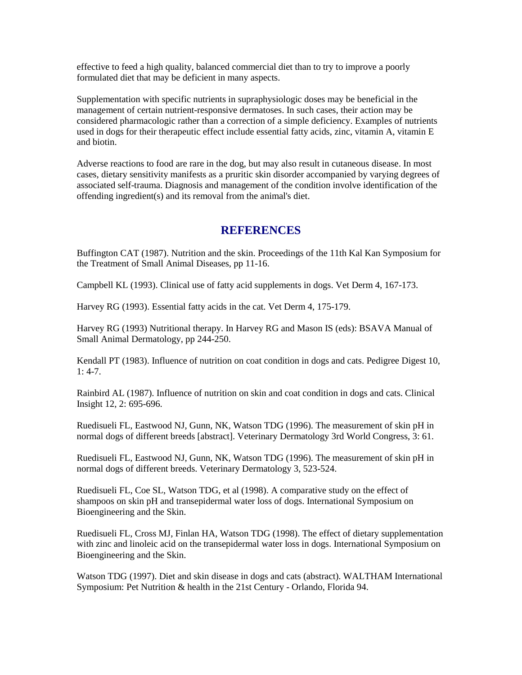effective to feed a high quality, balanced commercial diet than to try to improve a poorly formulated diet that may be deficient in many aspects.

Supplementation with specific nutrients in supraphysiologic doses may be beneficial in the management of certain nutrient-responsive dermatoses. In such cases, their action may be considered pharmacologic rather than a correction of a simple deficiency. Examples of nutrients used in dogs for their therapeutic effect include essential fatty acids, zinc, vitamin A, vitamin E and biotin.

Adverse reactions to food are rare in the dog, but may also result in cutaneous disease. In most cases, dietary sensitivity manifests as a pruritic skin disorder accompanied by varying degrees of associated self-trauma. Diagnosis and management of the condition involve identification of the offending ingredient(s) and its removal from the animal's diet.

#### **REFERENCES**

Buffington CAT (1987). Nutrition and the skin. Proceedings of the 11th Kal Kan Symposium for the Treatment of Small Animal Diseases, pp 11-16.

Campbell KL (1993). Clinical use of fatty acid supplements in dogs. Vet Derm 4, 167-173.

Harvey RG (1993). Essential fatty acids in the cat. Vet Derm 4, 175-179.

Harvey RG (1993) Nutritional therapy. In Harvey RG and Mason IS (eds): BSAVA Manual of Small Animal Dermatology, pp 244-250.

Kendall PT (1983). Influence of nutrition on coat condition in dogs and cats. Pedigree Digest 10, 1: 4-7.

Rainbird AL (1987). Influence of nutrition on skin and coat condition in dogs and cats. Clinical Insight 12, 2: 695-696.

Ruedisueli FL, Eastwood NJ, Gunn, NK, Watson TDG (1996). The measurement of skin pH in normal dogs of different breeds [abstract]. Veterinary Dermatology 3rd World Congress, 3: 61.

Ruedisueli FL, Eastwood NJ, Gunn, NK, Watson TDG (1996). The measurement of skin pH in normal dogs of different breeds. Veterinary Dermatology 3, 523-524.

Ruedisueli FL, Coe SL, Watson TDG, et al (1998). A comparative study on the effect of shampoos on skin pH and transepidermal water loss of dogs. International Symposium on Bioengineering and the Skin.

Ruedisueli FL, Cross MJ, Finlan HA, Watson TDG (1998). The effect of dietary supplementation with zinc and linoleic acid on the transepidermal water loss in dogs. International Symposium on Bioengineering and the Skin.

Watson TDG (1997). Diet and skin disease in dogs and cats (abstract). WALTHAM International Symposium: Pet Nutrition & health in the 21st Century - Orlando, Florida 94.